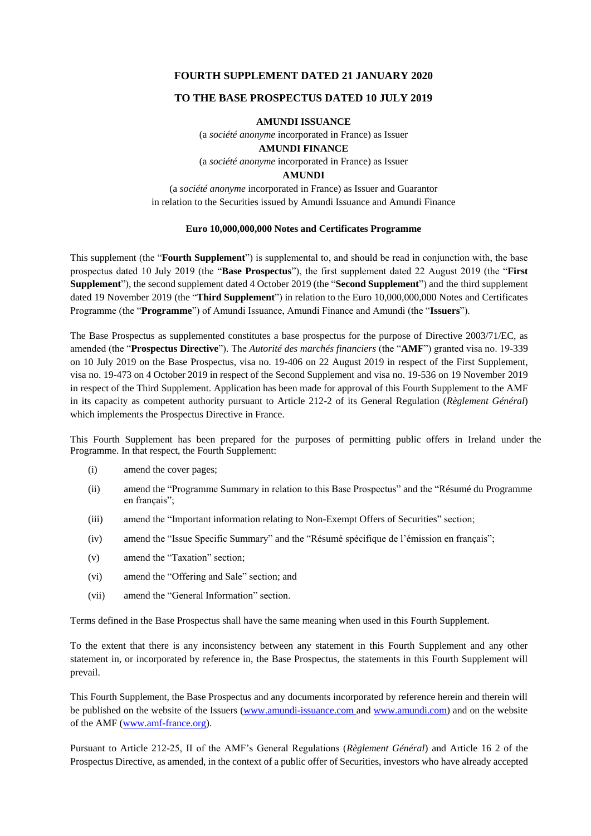#### **FOURTH SUPPLEMENT DATED 21 JANUARY 2020**

#### **TO THE BASE PROSPECTUS DATED 10 JULY 2019**

#### **AMUNDI ISSUANCE**

(a *société anonyme* incorporated in France) as Issuer **AMUNDI FINANCE** (a *société anonyme* incorporated in France) as Issuer

#### **AMUNDI**

(a *société anonyme* incorporated in France) as Issuer and Guarantor in relation to the Securities issued by Amundi Issuance and Amundi Finance

#### **Euro 10,000,000,000 Notes and Certificates Programme**

This supplement (the "**Fourth Supplement**") is supplemental to, and should be read in conjunction with, the base prospectus dated 10 July 2019 (the "**Base Prospectus**"), the first supplement dated 22 August 2019 (the "**First Supplement**"), the second supplement dated 4 October 2019 (the "**Second Supplement**") and the third supplement dated 19 November 2019 (the "**Third Supplement**") in relation to the Euro 10,000,000,000 Notes and Certificates Programme (the "**Programme**") of Amundi Issuance, Amundi Finance and Amundi (the "**Issuers**").

The Base Prospectus as supplemented constitutes a base prospectus for the purpose of Directive 2003/71/EC, as amended (the "**Prospectus Directive**"). The *Autorité des marchés financiers* (the "**AMF**") granted visa no. 19-339 on 10 July 2019 on the Base Prospectus, visa no. 19-406 on 22 August 2019 in respect of the First Supplement, visa no. 19-473 on 4 October 2019 in respect of the Second Supplement and visa no. 19-536 on 19 November 2019 in respect of the Third Supplement. Application has been made for approval of this Fourth Supplement to the AMF in its capacity as competent authority pursuant to Article 212-2 of its General Regulation (*Règlement Général*) which implements the Prospectus Directive in France.

This Fourth Supplement has been prepared for the purposes of permitting public offers in Ireland under the Programme. In that respect, the Fourth Supplement:

- (i) amend the cover pages;
- (ii) amend the "Programme Summary in relation to this Base Prospectus" and the "Résumé du Programme en français";
- (iii) amend the "Important information relating to Non-Exempt Offers of Securities" section;
- (iv) amend the "Issue Specific Summary" and the "Résumé spécifique de l'émission en français";
- (v) amend the "Taxation" section;
- (vi) amend the "Offering and Sale" section; and
- (vii) amend the "General Information" section.

Terms defined in the Base Prospectus shall have the same meaning when used in this Fourth Supplement.

To the extent that there is any inconsistency between any statement in this Fourth Supplement and any other statement in, or incorporated by reference in, the Base Prospectus, the statements in this Fourth Supplement will prevail.

This Fourth Supplement, the Base Prospectus and any documents incorporated by reference herein and therein will be published on the website of the Issuers [\(www.amundi-issuance.com a](http://www.amundi-issuance.com/)nd [www.amundi.com\)](http://www.amundi.com/) and on the website of the AMF [\(www.amf-france.org\)](http://www.amf-france.org/).

Pursuant to Article 212-25, II of the AMF's General Regulations (*Règlement Général*) and Article 16 2 of the Prospectus Directive, as amended, in the context of a public offer of Securities, investors who have already accepted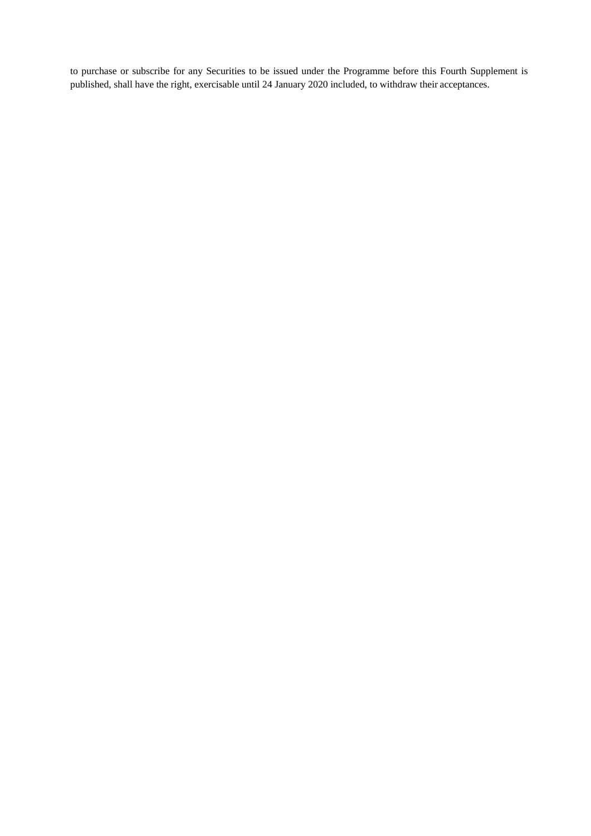to purchase or subscribe for any Securities to be issued under the Programme before this Fourth Supplement is published, shall have the right, exercisable until 24 January 2020 included, to withdraw their acceptances.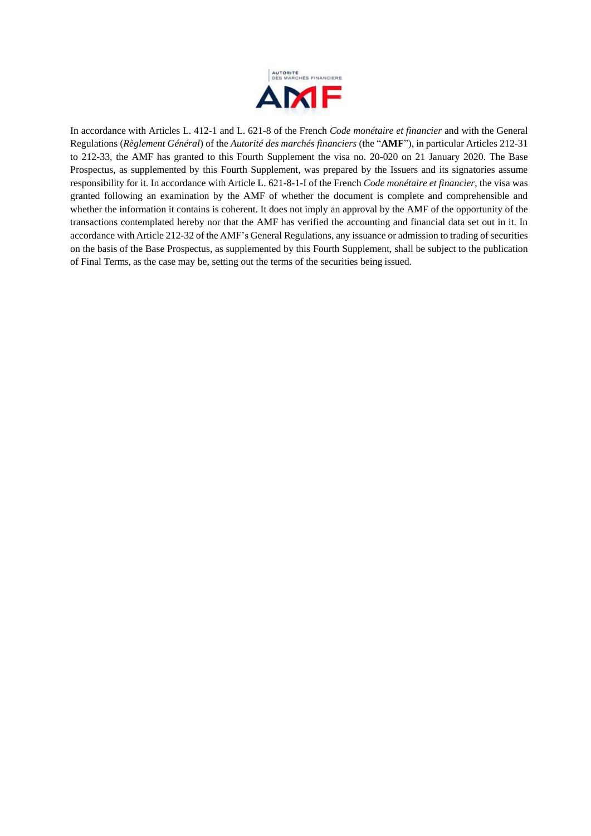

In accordance with Articles L. 412-1 and L. 621-8 of the French *Code monétaire et financier* and with the General Regulations (*Règlement Général*) of the *Autorité des marchés financiers* (the "**AMF**"), in particular Articles 212-31 to 212-33, the AMF has granted to this Fourth Supplement the visa no. 20-020 on 21 January 2020. The Base Prospectus, as supplemented by this Fourth Supplement, was prepared by the Issuers and its signatories assume responsibility for it. In accordance with Article L. 621-8-1-I of the French *Code monétaire et financier*, the visa was granted following an examination by the AMF of whether the document is complete and comprehensible and whether the information it contains is coherent. It does not imply an approval by the AMF of the opportunity of the transactions contemplated hereby nor that the AMF has verified the accounting and financial data set out in it. In accordance with Article 212-32 of the AMF's General Regulations, any issuance or admission to trading of securities on the basis of the Base Prospectus, as supplemented by this Fourth Supplement, shall be subject to the publication of Final Terms, as the case may be, setting out the terms of the securities being issued.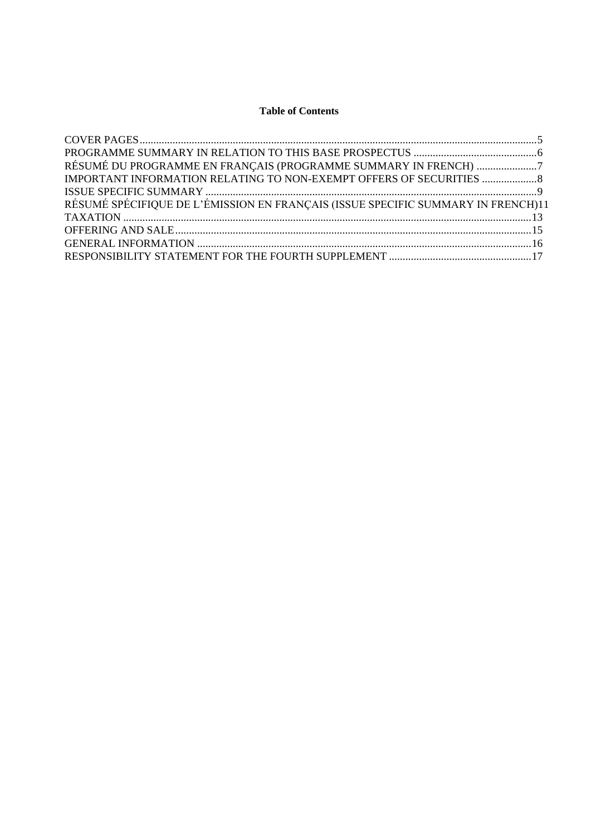# **Table of Contents**

| RÉSUMÉ DU PROGRAMME EN FRANÇAIS (PROGRAMME SUMMARY IN FRENCH) 7                  |  |
|----------------------------------------------------------------------------------|--|
| IMPORTANT INFORMATION RELATING TO NON-EXEMPT OFFERS OF SECURITIES  8             |  |
|                                                                                  |  |
| RÉSUMÉ SPÉCIFIQUE DE L'ÉMISSION EN FRANÇAIS (ISSUE SPECIFIC SUMMARY IN FRENCH)11 |  |
|                                                                                  |  |
|                                                                                  |  |
|                                                                                  |  |
|                                                                                  |  |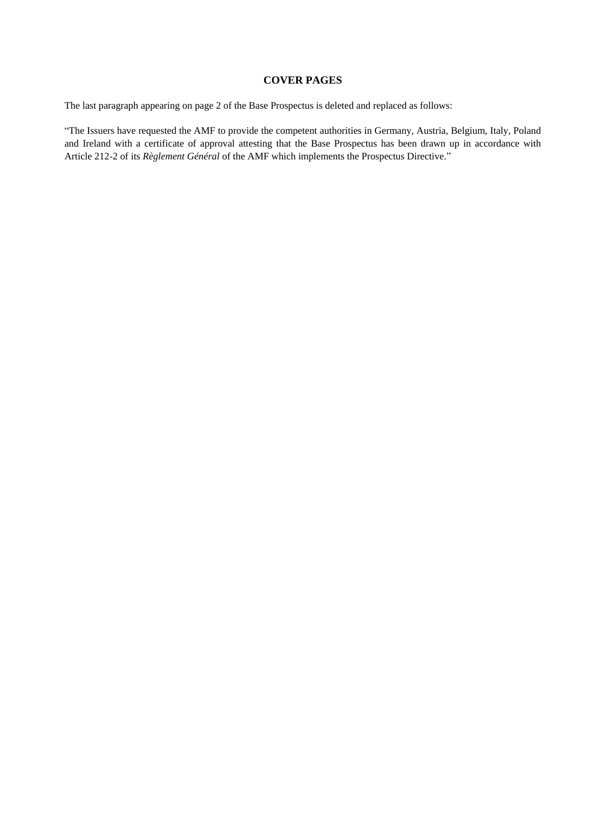#### **COVER PAGES**

<span id="page-4-0"></span>The last paragraph appearing on page 2 of the Base Prospectus is deleted and replaced as follows:

"The Issuers have requested the AMF to provide the competent authorities in Germany, Austria, Belgium, Italy, Poland and Ireland with a certificate of approval attesting that the Base Prospectus has been drawn up in accordance with Article 212-2 of its *Règlement Général* of the AMF which implements the Prospectus Directive."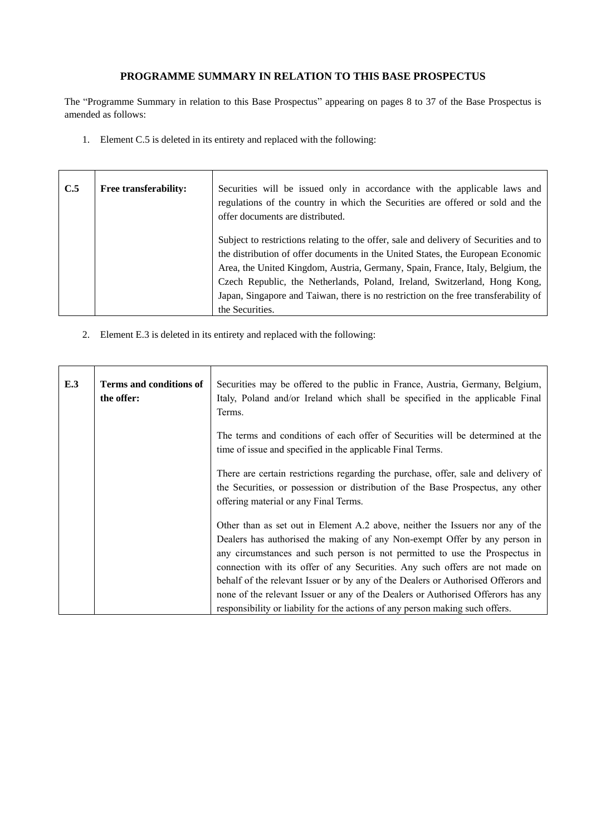# **PROGRAMME SUMMARY IN RELATION TO THIS BASE PROSPECTUS**

<span id="page-5-0"></span>The "Programme Summary in relation to this Base Prospectus" appearing on pages 8 to 37 of the Base Prospectus is amended as follows:

1. Element C.5 is deleted in its entirety and replaced with the following:

 $\sim$ 

| C.5 | <b>Free transferability:</b> | Securities will be issued only in accordance with the applicable laws and<br>regulations of the country in which the Securities are offered or sold and the<br>offer documents are distributed.                                                                                                                                         |
|-----|------------------------------|-----------------------------------------------------------------------------------------------------------------------------------------------------------------------------------------------------------------------------------------------------------------------------------------------------------------------------------------|
|     |                              | Subject to restrictions relating to the offer, sale and delivery of Securities and to<br>the distribution of offer documents in the United States, the European Economic<br>Area, the United Kingdom, Austria, Germany, Spain, France, Italy, Belgium, the<br>Czech Republic, the Netherlands, Poland, Ireland, Switzerland, Hong Kong, |
|     |                              | Japan, Singapore and Taiwan, there is no restriction on the free transferability of<br>the Securities.                                                                                                                                                                                                                                  |

2. Element E.3 is deleted in its entirety and replaced with the following:

| E.3 | <b>Terms and conditions of</b><br>the offer: | Securities may be offered to the public in France, Austria, Germany, Belgium,<br>Italy, Poland and/or Ireland which shall be specified in the applicable Final<br>Terms.                                                                                                                                                                                                                                                                                                                                                                                                              |
|-----|----------------------------------------------|---------------------------------------------------------------------------------------------------------------------------------------------------------------------------------------------------------------------------------------------------------------------------------------------------------------------------------------------------------------------------------------------------------------------------------------------------------------------------------------------------------------------------------------------------------------------------------------|
|     |                                              | The terms and conditions of each offer of Securities will be determined at the<br>time of issue and specified in the applicable Final Terms.                                                                                                                                                                                                                                                                                                                                                                                                                                          |
|     |                                              | There are certain restrictions regarding the purchase, offer, sale and delivery of<br>the Securities, or possession or distribution of the Base Prospectus, any other<br>offering material or any Final Terms.                                                                                                                                                                                                                                                                                                                                                                        |
|     |                                              | Other than as set out in Element A.2 above, neither the Issuers nor any of the<br>Dealers has authorised the making of any Non-exempt Offer by any person in<br>any circumstances and such person is not permitted to use the Prospectus in<br>connection with its offer of any Securities. Any such offers are not made on<br>behalf of the relevant Issuer or by any of the Dealers or Authorised Offerors and<br>none of the relevant Issuer or any of the Dealers or Authorised Offerors has any<br>responsibility or liability for the actions of any person making such offers. |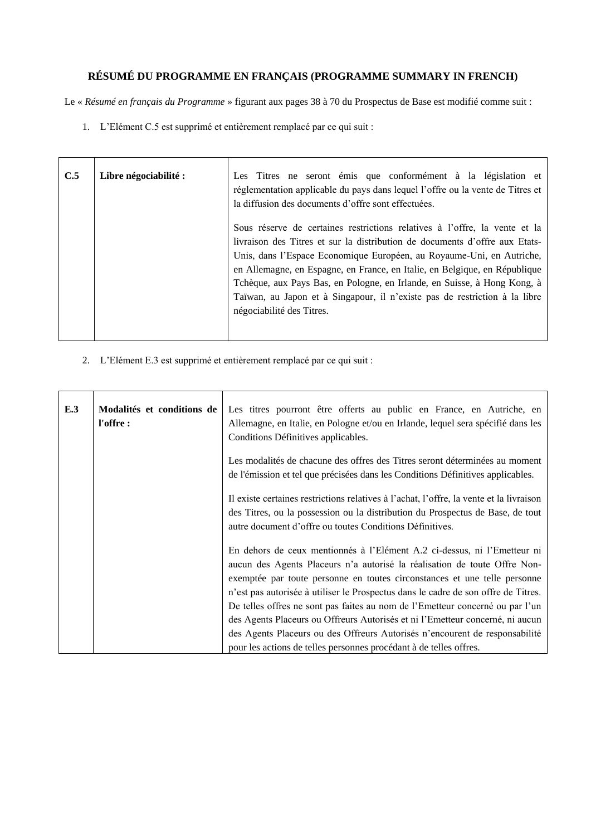# <span id="page-6-0"></span>**RÉSUMÉ DU PROGRAMME EN FRANÇAIS (PROGRAMME SUMMARY IN FRENCH)**

Le « *Résumé en français du Programme* » figurant aux pages 38 à 70 du Prospectus de Base est modifié comme suit :

1. L'Elément C.5 est supprimé et entièrement remplacé par ce qui suit :

| C.5 | Libre négociabilité : | Les Titres ne seront émis que conformément à la législation et<br>réglementation applicable du pays dans lequel l'offre ou la vente de Titres et<br>la diffusion des documents d'offre sont effectuées.                                                                                                                                                                                                                                                                                                 |
|-----|-----------------------|---------------------------------------------------------------------------------------------------------------------------------------------------------------------------------------------------------------------------------------------------------------------------------------------------------------------------------------------------------------------------------------------------------------------------------------------------------------------------------------------------------|
|     |                       | Sous réserve de certaines restrictions relatives à l'offre, la vente et la<br>livraison des Titres et sur la distribution de documents d'offre aux Etats-<br>Unis, dans l'Espace Economique Européen, au Royaume-Uni, en Autriche,<br>en Allemagne, en Espagne, en France, en Italie, en Belgique, en République<br>Tchèque, aux Pays Bas, en Pologne, en Irlande, en Suisse, à Hong Kong, à<br>Taïwan, au Japon et à Singapour, il n'existe pas de restriction à la libre<br>négociabilité des Titres. |

2. L'Elément E.3 est supprimé et entièrement remplacé par ce qui suit :

| E.3 | Modalités et conditions de<br>l'offre: | Les titres pourront être offerts au public en France, en Autriche, en<br>Allemagne, en Italie, en Pologne et/ou en Irlande, lequel sera spécifié dans les<br>Conditions Définitives applicables.                                                                                                                         |
|-----|----------------------------------------|--------------------------------------------------------------------------------------------------------------------------------------------------------------------------------------------------------------------------------------------------------------------------------------------------------------------------|
|     |                                        | Les modalités de chacune des offres des Titres seront déterminées au moment<br>de l'émission et tel que précisées dans les Conditions Définitives applicables.                                                                                                                                                           |
|     |                                        | Il existe certaines restrictions relatives à l'achat, l'offre, la vente et la livraison<br>des Titres, ou la possession ou la distribution du Prospectus de Base, de tout<br>autre document d'offre ou toutes Conditions Définitives.                                                                                    |
|     |                                        | En dehors de ceux mentionnés à l'Elément A.2 ci-dessus, ni l'Emetteur ni<br>aucun des Agents Placeurs n'a autorisé la réalisation de toute Offre Non-<br>exemptée par toute personne en toutes circonstances et une telle personne<br>n'est pas autorisée à utiliser le Prospectus dans le cadre de son offre de Titres. |
|     |                                        | De telles offres ne sont pas faites au nom de l'Emetteur concerné ou par l'un<br>des Agents Placeurs ou Offreurs Autorisés et ni l'Emetteur concerné, ni aucun<br>des Agents Placeurs ou des Offreurs Autorisés n'encourent de responsabilité<br>pour les actions de telles personnes procédant à de telles offres.      |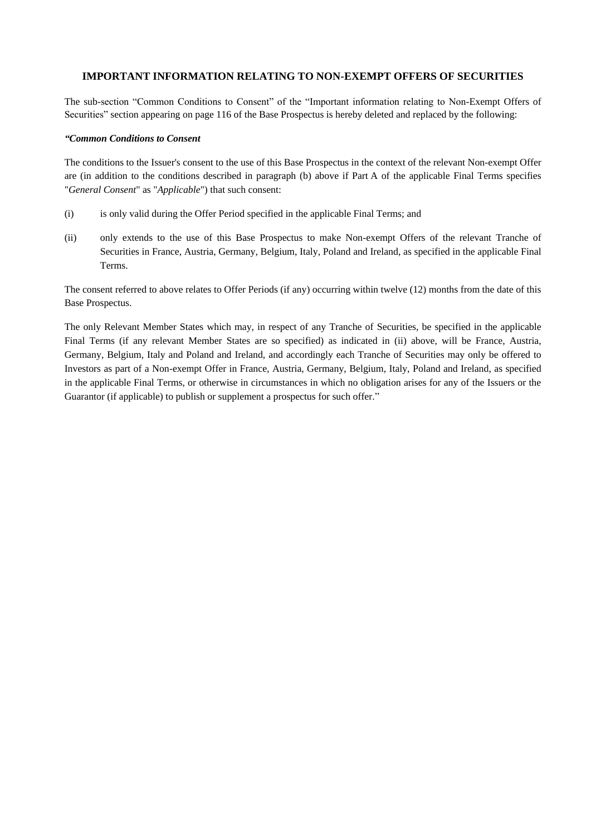#### <span id="page-7-0"></span>**IMPORTANT INFORMATION RELATING TO NON-EXEMPT OFFERS OF SECURITIES**

The sub-section "Common Conditions to Consent" of the "Important information relating to Non-Exempt Offers of Securities" section appearing on page 116 of the Base Prospectus is hereby deleted and replaced by the following:

#### *"Common Conditions to Consent*

The conditions to the Issuer's consent to the use of this Base Prospectus in the context of the relevant Non-exempt Offer are (in addition to the conditions described in paragraph (b) above if Part A of the applicable Final Terms specifies "*General Consent*" as "*Applicable*") that such consent:

- (i) is only valid during the Offer Period specified in the applicable Final Terms; and
- (ii) only extends to the use of this Base Prospectus to make Non-exempt Offers of the relevant Tranche of Securities in France, Austria, Germany, Belgium, Italy, Poland and Ireland, as specified in the applicable Final Terms.

The consent referred to above relates to Offer Periods (if any) occurring within twelve (12) months from the date of this Base Prospectus.

The only Relevant Member States which may, in respect of any Tranche of Securities, be specified in the applicable Final Terms (if any relevant Member States are so specified) as indicated in (ii) above, will be France, Austria, Germany, Belgium, Italy and Poland and Ireland, and accordingly each Tranche of Securities may only be offered to Investors as part of a Non-exempt Offer in France, Austria, Germany, Belgium, Italy, Poland and Ireland, as specified in the applicable Final Terms, or otherwise in circumstances in which no obligation arises for any of the Issuers or the Guarantor (if applicable) to publish or supplement a prospectus for such offer."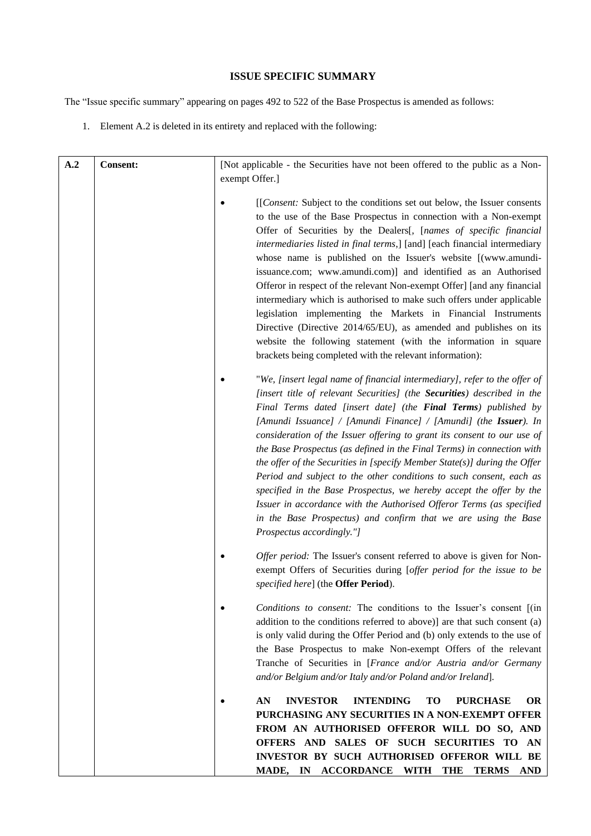### **ISSUE SPECIFIC SUMMARY**

<span id="page-8-0"></span>The "Issue specific summary" appearing on pages 492 to 522 of the Base Prospectus is amended as follows:

1. Element A.2 is deleted in its entirety and replaced with the following:

| A.2 | <b>Consent:</b> | [Not applicable - the Securities have not been offered to the public as a Non-<br>exempt Offer.]                                                                                                                                                                                                                                                                                                                                                                                                                                                                                                                                                                                                                                                                                                                                                            |
|-----|-----------------|-------------------------------------------------------------------------------------------------------------------------------------------------------------------------------------------------------------------------------------------------------------------------------------------------------------------------------------------------------------------------------------------------------------------------------------------------------------------------------------------------------------------------------------------------------------------------------------------------------------------------------------------------------------------------------------------------------------------------------------------------------------------------------------------------------------------------------------------------------------|
|     |                 | [[Consent: Subject to the conditions set out below, the Issuer consents]<br>to the use of the Base Prospectus in connection with a Non-exempt<br>Offer of Securities by the Dealers[, [names of specific financial<br>intermediaries listed in final terms,] [and] [each financial intermediary<br>whose name is published on the Issuer's website [(www.amundi-<br>issuance.com; www.amundi.com)] and identified as an Authorised<br>Offeror in respect of the relevant Non-exempt Offer] [and any financial<br>intermediary which is authorised to make such offers under applicable<br>legislation implementing the Markets in Financial Instruments<br>Directive (Directive 2014/65/EU), as amended and publishes on its<br>website the following statement (with the information in square<br>brackets being completed with the relevant information): |
|     |                 | "We, [insert legal name of financial intermediary], refer to the offer of<br>[insert title of relevant Securities] (the Securities) described in the<br>Final Terms dated [insert date] (the Final Terms) published by<br>[Amundi Issuance] / [Amundi Finance] / [Amundi] (the Issuer). In<br>consideration of the Issuer offering to grant its consent to our use of<br>the Base Prospectus (as defined in the Final Terms) in connection with<br>the offer of the Securities in [specify Member State(s)] during the Offer<br>Period and subject to the other conditions to such consent, each as<br>specified in the Base Prospectus, we hereby accept the offer by the<br>Issuer in accordance with the Authorised Offeror Terms (as specified<br>in the Base Prospectus) and confirm that we are using the Base<br>Prospectus accordingly."]           |
|     |                 | Offer period: The Issuer's consent referred to above is given for Non-<br>exempt Offers of Securities during [offer period for the issue to be<br>specified here] (the Offer Period).                                                                                                                                                                                                                                                                                                                                                                                                                                                                                                                                                                                                                                                                       |
|     |                 | Conditions to consent: The conditions to the Issuer's consent [(in<br>addition to the conditions referred to above)] are that such consent (a)<br>is only valid during the Offer Period and (b) only extends to the use of<br>the Base Prospectus to make Non-exempt Offers of the relevant<br>Tranche of Securities in [France and/or Austria and/or Germany<br>and/or Belgium and/or Italy and/or Poland and/or Ireland].                                                                                                                                                                                                                                                                                                                                                                                                                                 |
|     |                 | <b>INVESTOR</b><br><b>INTENDING</b><br><b>PURCHASE</b><br>AN<br>TO<br><b>OR</b><br>PURCHASING ANY SECURITIES IN A NON-EXEMPT OFFER<br>FROM AN AUTHORISED OFFEROR WILL DO SO, AND<br>OFFERS AND SALES OF SUCH SECURITIES TO AN<br>INVESTOR BY SUCH AUTHORISED OFFEROR WILL BE<br>MADE, IN ACCORDANCE WITH<br><b>THE</b><br><b>TERMS</b><br>AND                                                                                                                                                                                                                                                                                                                                                                                                                                                                                                               |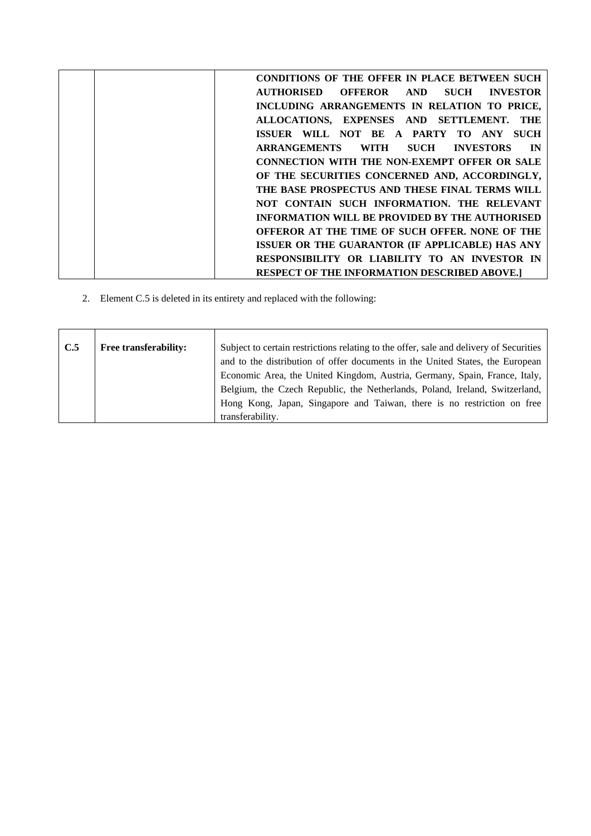| <b>CONDITIONS OF THE OFFER IN PLACE BETWEEN SUCH</b>        |
|-------------------------------------------------------------|
| OFFEROR AND<br>AUTHORISED<br><b>SUCH</b><br><b>INVESTOR</b> |
| INCLUDING ARRANGEMENTS IN RELATION TO PRICE,                |
| ALLOCATIONS, EXPENSES AND SETTLEMENT.<br>THE                |
| <b>SUCH</b><br>ISSUER WILL NOT BE A PARTY TO ANY            |
| <b>ARRANGEMENTS</b><br><b>SUCH INVESTORS</b><br>IN<br>WITH  |
| <b>CONNECTION WITH THE NON-EXEMPT OFFER OR SALE</b>         |
| OF THE SECURITIES CONCERNED AND, ACCORDINGLY,               |
| THE BASE PROSPECTUS AND THESE FINAL TERMS WILL              |
| NOT CONTAIN SUCH INFORMATION. THE RELEVANT                  |
| <b>INFORMATION WILL BE PROVIDED BY THE AUTHORISED</b>       |
| OFFEROR AT THE TIME OF SUCH OFFER. NONE OF THE              |
| ISSUER OR THE GUARANTOR (IF APPLICABLE) HAS ANY             |
| RESPONSIBILITY OR LIABILITY TO AN INVESTOR IN               |
| <b>RESPECT OF THE INFORMATION DESCRIBED ABOVE.]</b>         |

2. Element C.5 is deleted in its entirety and replaced with the following:

| C.5 | <b>Free transferability:</b> | Subject to certain restrictions relating to the offer, sale and delivery of Securities |
|-----|------------------------------|----------------------------------------------------------------------------------------|
|     |                              | and to the distribution of offer documents in the United States, the European          |
|     |                              | Economic Area, the United Kingdom, Austria, Germany, Spain, France, Italy,             |
|     |                              | Belgium, the Czech Republic, the Netherlands, Poland, Ireland, Switzerland,            |
|     |                              | Hong Kong, Japan, Singapore and Taiwan, there is no restriction on free                |
|     |                              | transferability.                                                                       |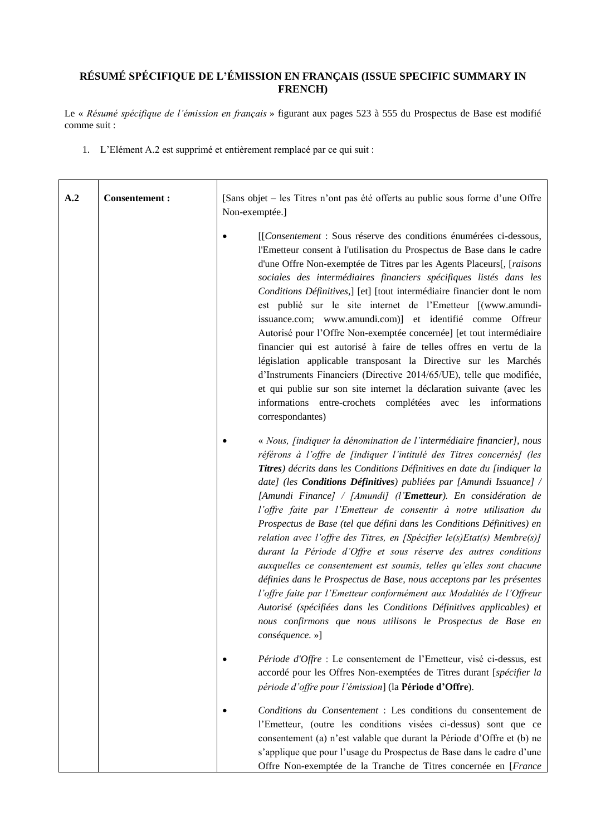# <span id="page-10-0"></span>**RÉSUMÉ SPÉCIFIQUE DE L'ÉMISSION EN FRANÇAIS (ISSUE SPECIFIC SUMMARY IN FRENCH)**

Le « *Résumé spécifique de l'émission en français* » figurant aux pages 523 à 555 du Prospectus de Base est modifié comme suit :

1. L'Elément A.2 est supprimé et entièrement remplacé par ce qui suit :

| A.2 | <b>Consentement:</b> | [Sans objet – les Titres n'ont pas été offerts au public sous forme d'une Offre<br>Non-exemptée.]                                                                                                                                                                                                                                                                                                                                                                                                                                                                                                                                                                                                                                                                                                                                                                                                                                                                                                                                                                          |
|-----|----------------------|----------------------------------------------------------------------------------------------------------------------------------------------------------------------------------------------------------------------------------------------------------------------------------------------------------------------------------------------------------------------------------------------------------------------------------------------------------------------------------------------------------------------------------------------------------------------------------------------------------------------------------------------------------------------------------------------------------------------------------------------------------------------------------------------------------------------------------------------------------------------------------------------------------------------------------------------------------------------------------------------------------------------------------------------------------------------------|
|     |                      | [[Consentement : Sous réserve des conditions énumérées ci-dessous,<br>l'Emetteur consent à l'utilisation du Prospectus de Base dans le cadre<br>d'une Offre Non-exemptée de Titres par les Agents Placeurs[, [raisons<br>sociales des intermédiaires financiers spécifiques listés dans les<br>Conditions Définitives,] [et] [tout intermédiaire financier dont le nom<br>est publié sur le site internet de l'Emetteur [(www.amundi-<br>issuance.com; www.amundi.com)] et identifié comme Offreur<br>Autorisé pour l'Offre Non-exemptée concernée] [et tout intermédiaire<br>financier qui est autorisé à faire de telles offres en vertu de la<br>législation applicable transposant la Directive sur les Marchés<br>d'Instruments Financiers (Directive 2014/65/UE), telle que modifiée,<br>et qui publie sur son site internet la déclaration suivante (avec les<br>informations entre-crochets complétées avec les informations<br>correspondantes)                                                                                                                   |
|     |                      | « Nous, <i>findiquer la dénomination de l'intermédiaire financier</i> ], nous<br>référons à l'offre de findiquer l'intitulé des Titres concernés] (les<br>Titres) décrits dans les Conditions Définitives en date du [indiquer la<br>date] (les <b>Conditions Définitives</b> ) publiées par [Amundi Issuance] /<br>[Amundi Finance] / [Amundi] (l' <b>Emetteur</b> ). En considération de<br>l'offre faite par l'Emetteur de consentir à notre utilisation du<br>Prospectus de Base (tel que défini dans les Conditions Définitives) en<br>relation avec l'offre des Titres, en [Spécifier $le(s)Etat(s)$ Membre(s)]<br>durant la Période d'Offre et sous réserve des autres conditions<br>auxquelles ce consentement est soumis, telles qu'elles sont chacune<br>définies dans le Prospectus de Base, nous acceptons par les présentes<br>l'offre faite par l'Emetteur conformément aux Modalités de l'Offreur<br>Autorisé (spécifiées dans les Conditions Définitives applicables) et<br>nous confirmons que nous utilisons le Prospectus de Base en<br>conséquence. »] |
|     |                      | Période d'Offre : Le consentement de l'Emetteur, visé ci-dessus, est<br>accordé pour les Offres Non-exemptées de Titres durant [spécifier la<br>période d'offre pour l'émission] (la Période d'Offre).                                                                                                                                                                                                                                                                                                                                                                                                                                                                                                                                                                                                                                                                                                                                                                                                                                                                     |
|     |                      | Conditions du Consentement : Les conditions du consentement de<br>l'Emetteur, (outre les conditions visées ci-dessus) sont que ce<br>consentement (a) n'est valable que durant la Période d'Offre et (b) ne<br>s'applique que pour l'usage du Prospectus de Base dans le cadre d'une<br>Offre Non-exemptée de la Tranche de Titres concernée en [France                                                                                                                                                                                                                                                                                                                                                                                                                                                                                                                                                                                                                                                                                                                    |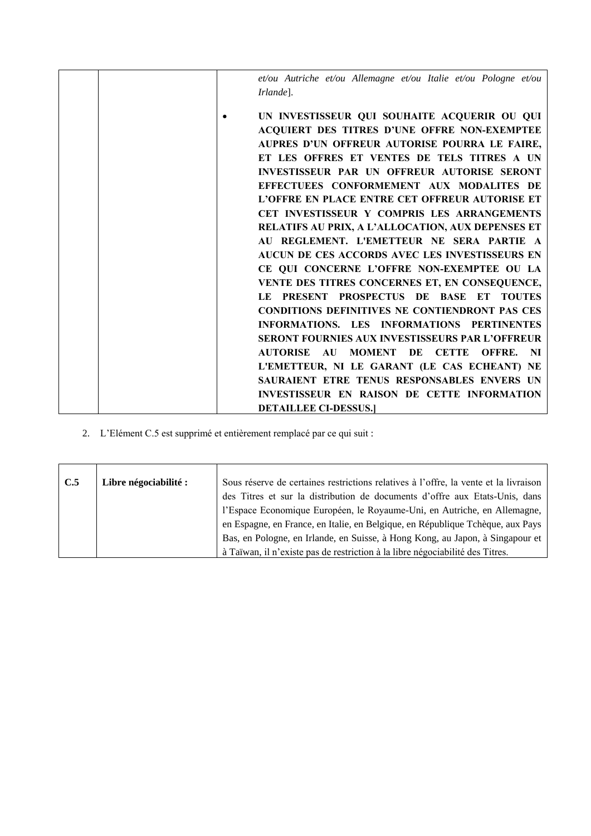| et/ou Autriche et/ou Allemagne et/ou Italie et/ou Pologne et/ou<br>Irlande].                                                                                                                                                                                                                                                                                                                                                                                                                                                                                                                                                                                                                                                                                                                                                                                                                                                 |
|------------------------------------------------------------------------------------------------------------------------------------------------------------------------------------------------------------------------------------------------------------------------------------------------------------------------------------------------------------------------------------------------------------------------------------------------------------------------------------------------------------------------------------------------------------------------------------------------------------------------------------------------------------------------------------------------------------------------------------------------------------------------------------------------------------------------------------------------------------------------------------------------------------------------------|
| UN INVESTISSEUR QUI SOUHAITE ACQUERIR OU QUI<br>ACQUIERT DES TITRES D'UNE OFFRE NON-EXEMPTEE<br>AUPRES D'UN OFFREUR AUTORISE POURRA LE FAIRE,<br>ET LES OFFRES ET VENTES DE TELS TITRES A UN<br><b>INVESTISSEUR PAR UN OFFREUR AUTORISE SERONT</b><br>EFFECTUEES CONFORMEMENT AUX MODALITES DE<br>L'OFFRE EN PLACE ENTRE CET OFFREUR AUTORISE ET<br>CET INVESTISSEUR Y COMPRIS LES ARRANGEMENTS<br>RELATIFS AU PRIX, A L'ALLOCATION, AUX DEPENSES ET<br>AU REGLEMENT. L'EMETTEUR NE SERA PARTIE A<br>AUCUN DE CES ACCORDS AVEC LES INVESTISSEURS EN<br>CE QUI CONCERNE L'OFFRE NON-EXEMPTEE OU LA<br>VENTE DES TITRES CONCERNES ET, EN CONSEQUENCE,<br>LE PRESENT PROSPECTUS DE BASE ET TOUTES<br><b>CONDITIONS DEFINITIVES NE CONTIENDRONT PAS CES</b><br>INFORMATIONS. LES INFORMATIONS PERTINENTES<br><b>SERONT FOURNIES AUX INVESTISSEURS PAR L'OFFREUR</b><br><b>AUTORISE AU</b><br><b>MOMENT DE CETTE</b><br>OFFRE. NI |
| L'EMETTEUR, NI LE GARANT (LE CAS ECHEANT) NE                                                                                                                                                                                                                                                                                                                                                                                                                                                                                                                                                                                                                                                                                                                                                                                                                                                                                 |
| SAURAIENT ETRE TENUS RESPONSABLES ENVERS UN                                                                                                                                                                                                                                                                                                                                                                                                                                                                                                                                                                                                                                                                                                                                                                                                                                                                                  |
| INVESTISSEUR EN RAISON DE CETTE INFORMATION<br><b>DETAILLEE CI-DESSUS.</b>                                                                                                                                                                                                                                                                                                                                                                                                                                                                                                                                                                                                                                                                                                                                                                                                                                                   |
|                                                                                                                                                                                                                                                                                                                                                                                                                                                                                                                                                                                                                                                                                                                                                                                                                                                                                                                              |

2. L'Elément C.5 est supprimé et entièrement remplacé par ce qui suit :

| C.5 | Libre négociabilité : | Sous réserve de certaines restrictions relatives à l'offre, la vente et la livraison<br>des Titres et sur la distribution de documents d'offre aux Etats-Unis, dans |
|-----|-----------------------|---------------------------------------------------------------------------------------------------------------------------------------------------------------------|
|     |                       | l'Espace Economique Européen, le Royaume-Uni, en Autriche, en Allemagne,                                                                                            |
|     |                       | en Espagne, en France, en Italie, en Belgique, en République Tchèque, aux Pays                                                                                      |
|     |                       | Bas, en Pologne, en Irlande, en Suisse, à Hong Kong, au Japon, à Singapour et                                                                                       |
|     |                       | à Taïwan, il n'existe pas de restriction à la libre négociabilité des Titres.                                                                                       |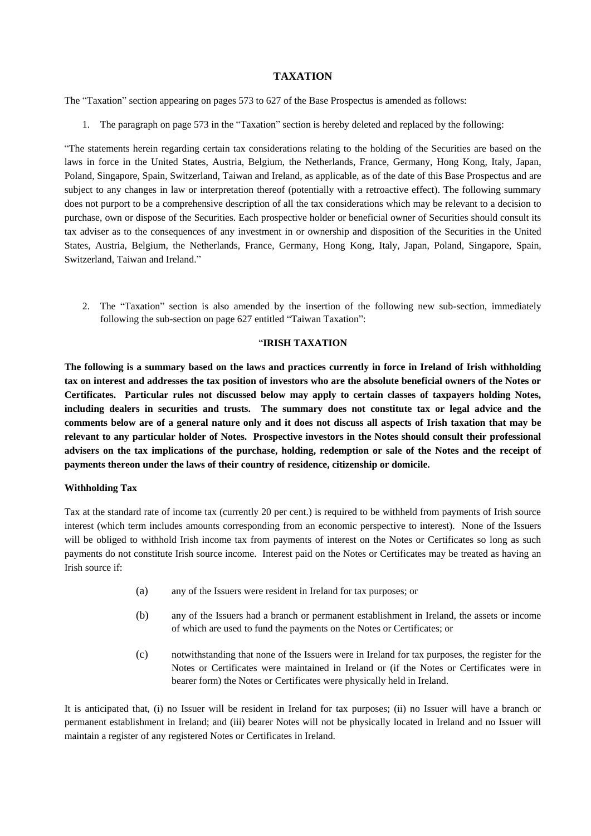#### **TAXATION**

<span id="page-12-0"></span>The "Taxation" section appearing on pages 573 to 627 of the Base Prospectus is amended as follows:

1. The paragraph on page 573 in the "Taxation" section is hereby deleted and replaced by the following:

"The statements herein regarding certain tax considerations relating to the holding of the Securities are based on the laws in force in the United States, Austria, Belgium, the Netherlands, France, Germany, Hong Kong, Italy, Japan, Poland, Singapore, Spain, Switzerland, Taiwan and Ireland, as applicable, as of the date of this Base Prospectus and are subject to any changes in law or interpretation thereof (potentially with a retroactive effect). The following summary does not purport to be a comprehensive description of all the tax considerations which may be relevant to a decision to purchase, own or dispose of the Securities. Each prospective holder or beneficial owner of Securities should consult its tax adviser as to the consequences of any investment in or ownership and disposition of the Securities in the United States, Austria, Belgium, the Netherlands, France, Germany, Hong Kong, Italy, Japan, Poland, Singapore, Spain, Switzerland, Taiwan and Ireland."

2. The "Taxation" section is also amended by the insertion of the following new sub-section, immediately following the sub-section on page 627 entitled "Taiwan Taxation":

#### "**IRISH TAXATION**

**The following is a summary based on the laws and practices currently in force in Ireland of Irish withholding tax on interest and addresses the tax position of investors who are the absolute beneficial owners of the Notes or Certificates. Particular rules not discussed below may apply to certain classes of taxpayers holding Notes, including dealers in securities and trusts. The summary does not constitute tax or legal advice and the comments below are of a general nature only and it does not discuss all aspects of Irish taxation that may be relevant to any particular holder of Notes. Prospective investors in the Notes should consult their professional advisers on the tax implications of the purchase, holding, redemption or sale of the Notes and the receipt of payments thereon under the laws of their country of residence, citizenship or domicile.**

#### **Withholding Tax**

Tax at the standard rate of income tax (currently 20 per cent.) is required to be withheld from payments of Irish source interest (which term includes amounts corresponding from an economic perspective to interest). None of the Issuers will be obliged to withhold Irish income tax from payments of interest on the Notes or Certificates so long as such payments do not constitute Irish source income. Interest paid on the Notes or Certificates may be treated as having an Irish source if:

- (a) any of the Issuers were resident in Ireland for tax purposes; or
- (b) any of the Issuers had a branch or permanent establishment in Ireland, the assets or income of which are used to fund the payments on the Notes or Certificates; or
- (c) notwithstanding that none of the Issuers were in Ireland for tax purposes, the register for the Notes or Certificates were maintained in Ireland or (if the Notes or Certificates were in bearer form) the Notes or Certificates were physically held in Ireland.

It is anticipated that, (i) no Issuer will be resident in Ireland for tax purposes; (ii) no Issuer will have a branch or permanent establishment in Ireland; and (iii) bearer Notes will not be physically located in Ireland and no Issuer will maintain a register of any registered Notes or Certificates in Ireland.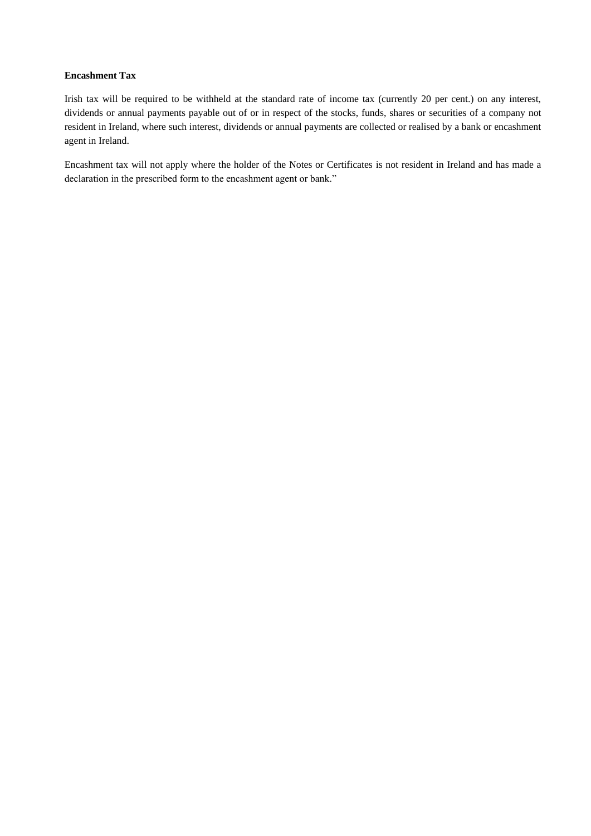#### **Encashment Tax**

Irish tax will be required to be withheld at the standard rate of income tax (currently 20 per cent.) on any interest, dividends or annual payments payable out of or in respect of the stocks, funds, shares or securities of a company not resident in Ireland, where such interest, dividends or annual payments are collected or realised by a bank or encashment agent in Ireland.

Encashment tax will not apply where the holder of the Notes or Certificates is not resident in Ireland and has made a declaration in the prescribed form to the encashment agent or bank."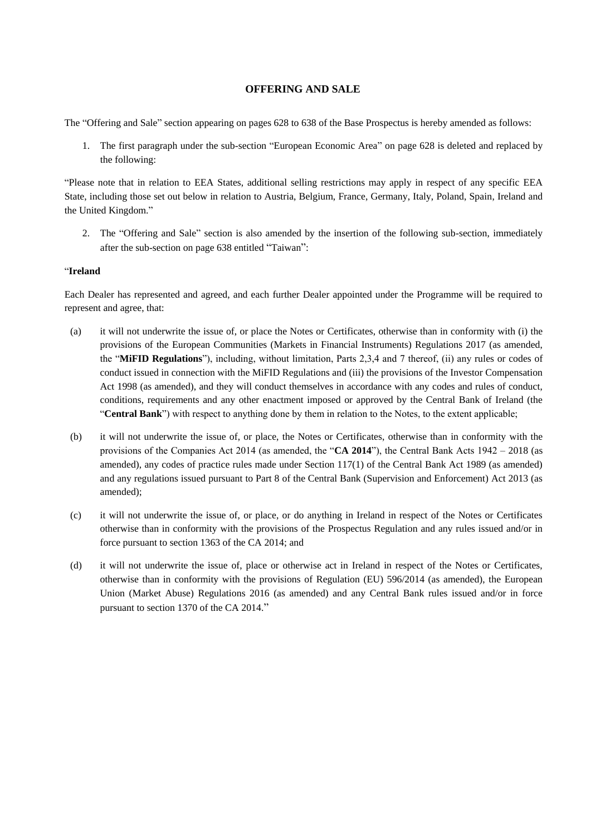#### **OFFERING AND SALE**

<span id="page-14-0"></span>The "Offering and Sale" section appearing on pages 628 to 638 of the Base Prospectus is hereby amended as follows:

1. The first paragraph under the sub-section "European Economic Area" on page 628 is deleted and replaced by the following:

"Please note that in relation to EEA States, additional selling restrictions may apply in respect of any specific EEA State, including those set out below in relation to Austria, Belgium, France, Germany, Italy, Poland, Spain, Ireland and the United Kingdom."

2. The "Offering and Sale" section is also amended by the insertion of the following sub-section, immediately after the sub-section on page 638 entitled "Taiwan":

#### "**Ireland**

Each Dealer has represented and agreed, and each further Dealer appointed under the Programme will be required to represent and agree, that:

- (a) it will not underwrite the issue of, or place the Notes or Certificates, otherwise than in conformity with (i) the provisions of the European Communities (Markets in Financial Instruments) Regulations 2017 (as amended, the "**MiFID Regulations**"), including, without limitation, Parts 2,3,4 and 7 thereof, (ii) any rules or codes of conduct issued in connection with the MiFID Regulations and (iii) the provisions of the Investor Compensation Act 1998 (as amended), and they will conduct themselves in accordance with any codes and rules of conduct, conditions, requirements and any other enactment imposed or approved by the Central Bank of Ireland (the "**Central Bank**") with respect to anything done by them in relation to the Notes, to the extent applicable;
- (b) it will not underwrite the issue of, or place, the Notes or Certificates, otherwise than in conformity with the provisions of the Companies Act 2014 (as amended, the "**CA 2014**"), the Central Bank Acts 1942 – 2018 (as amended), any codes of practice rules made under Section 117(1) of the Central Bank Act 1989 (as amended) and any regulations issued pursuant to Part 8 of the Central Bank (Supervision and Enforcement) Act 2013 (as amended);
- (c) it will not underwrite the issue of, or place, or do anything in Ireland in respect of the Notes or Certificates otherwise than in conformity with the provisions of the Prospectus Regulation and any rules issued and/or in force pursuant to section 1363 of the CA 2014; and
- (d) it will not underwrite the issue of, place or otherwise act in Ireland in respect of the Notes or Certificates, otherwise than in conformity with the provisions of Regulation (EU) 596/2014 (as amended), the European Union (Market Abuse) Regulations 2016 (as amended) and any Central Bank rules issued and/or in force pursuant to section 1370 of the CA 2014."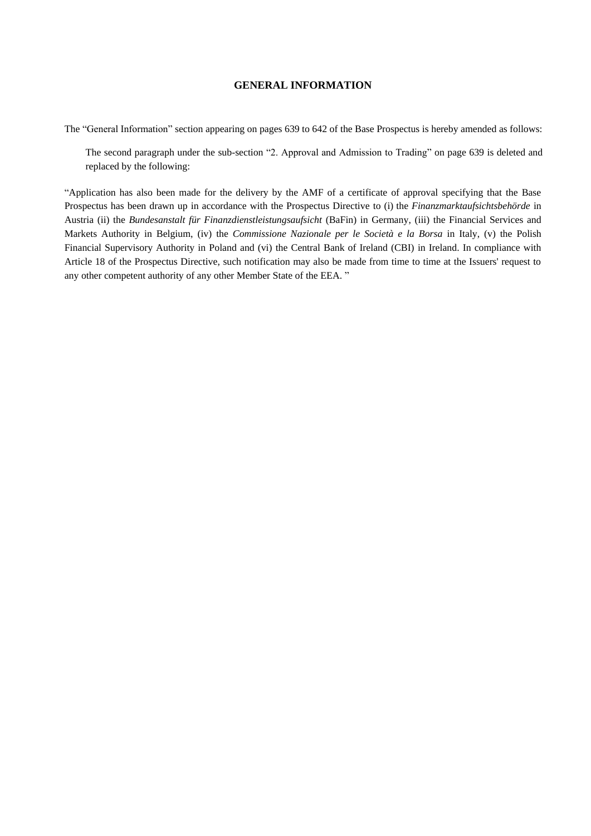#### **GENERAL INFORMATION**

<span id="page-15-0"></span>The "General Information" section appearing on pages 639 to 642 of the Base Prospectus is hereby amended as follows:

The second paragraph under the sub-section "2. Approval and Admission to Trading" on page 639 is deleted and replaced by the following:

"Application has also been made for the delivery by the AMF of a certificate of approval specifying that the Base Prospectus has been drawn up in accordance with the Prospectus Directive to (i) the *Finanzmarktaufsichtsbehörde* in Austria (ii) the *Bundesanstalt für Finanzdienstleistungsaufsicht* (BaFin) in Germany, (iii) the Financial Services and Markets Authority in Belgium, (iv) the *Commissione Nazionale per le Società e la Borsa* in Italy, (v) the Polish Financial Supervisory Authority in Poland and (vi) the Central Bank of Ireland (CBI) in Ireland. In compliance with Article 18 of the Prospectus Directive, such notification may also be made from time to time at the Issuers' request to any other competent authority of any other Member State of the EEA. "